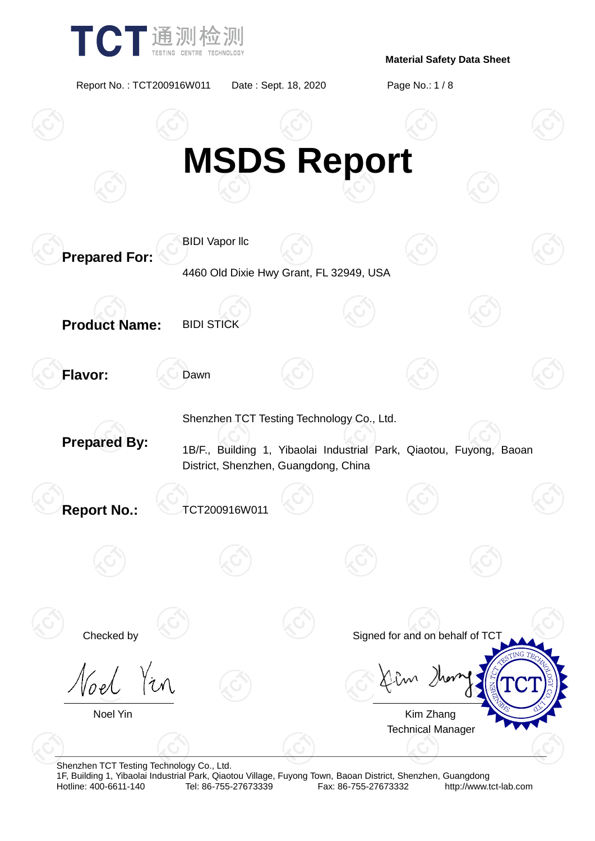

Report No. : TCT200916W011 Date : Sept. 18, 2020 Page No.: 1 / 8



Shenzhen TCT Testing Technology Co., Ltd.

1F, Building 1, Yibaolai Industrial Park, Qiaotou Village, Fuyong Town, Baoan District, Shenzhen, Guangdong Fax: 86-755-27673332 http://www.tct-lab.com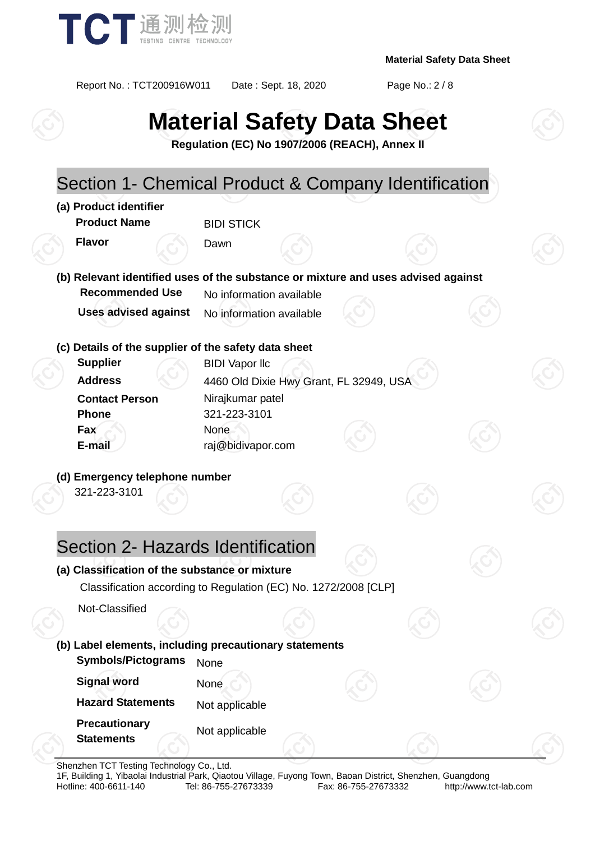

Report No. : TCT200916W011 Date : Sept. 18, 2020 Page No.: 2 / 8

# **Material Safety Data Sheet**

**Regulation (EC) No 1907/2006 (REACH), Annex II**

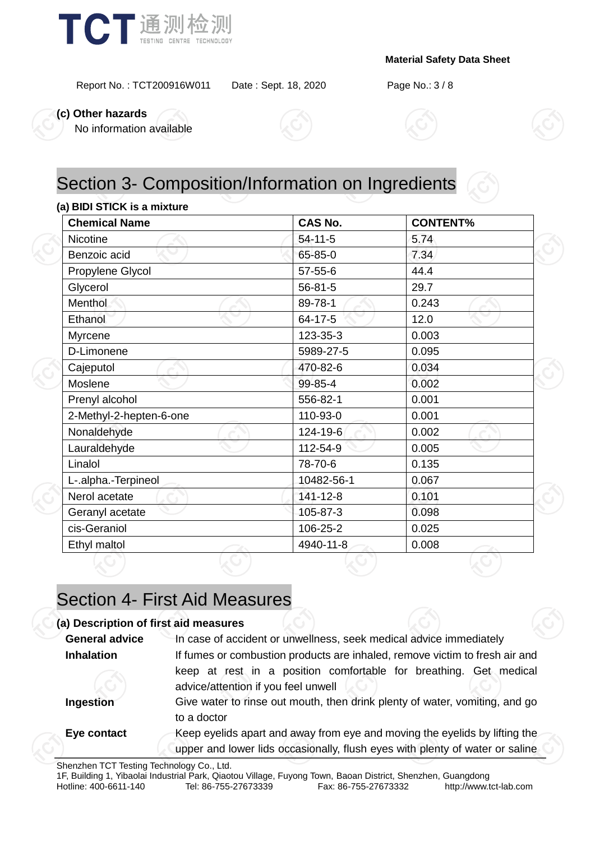

Report No. : TCT200916W011 Date : Sept. 18, 2020 Page No.: 3 / 8

**(c) Other hazards**

No information available



# Section 3- Composition/Information on Ingredients

### **(a) BIDI STICK is a mixture**

| <b>Chemical Name</b>    | <b>CAS No.</b> | <b>CONTENT%</b> |  |  |
|-------------------------|----------------|-----------------|--|--|
| Nicotine                | $54 - 11 - 5$  | 5.74            |  |  |
| Benzoic acid            | 65-85-0        | 7.34            |  |  |
| Propylene Glycol        | $57 - 55 - 6$  | 44.4            |  |  |
| Glycerol                | $56 - 81 - 5$  | 29.7            |  |  |
| Menthol                 | 89-78-1        | 0.243           |  |  |
| Ethanol                 | 64-17-5        | 12.0            |  |  |
| Myrcene                 | 123-35-3       | 0.003           |  |  |
| D-Limonene              | 5989-27-5      | 0.095           |  |  |
| Cajeputol               | 470-82-6       | 0.034           |  |  |
| Moslene                 | 99-85-4        | 0.002           |  |  |
| Prenyl alcohol          | 556-82-1       | 0.001           |  |  |
| 2-Methyl-2-hepten-6-one | 110-93-0       | 0.001           |  |  |
| Nonaldehyde             | 124-19-6       | 0.002           |  |  |
| Lauraldehyde            | 112-54-9       | 0.005           |  |  |
| Linalol                 | 78-70-6        | 0.135           |  |  |
| L-.alpha.-Terpineol     | 10482-56-1     | 0.067           |  |  |
| Nerol acetate           | 141-12-8       | 0.101           |  |  |
| Geranyl acetate         | 105-87-3       | 0.098           |  |  |
| cis-Geraniol            | 106-25-2       | 0.025           |  |  |
| Ethyl maltol            | 4940-11-8      | 0.008           |  |  |

# Section 4- First Aid Measures

| (a) Description of first aid measures |                                                                                                                                                            |  |  |  |  |
|---------------------------------------|------------------------------------------------------------------------------------------------------------------------------------------------------------|--|--|--|--|
| <b>General advice</b>                 | In case of accident or unwellness, seek medical advice immediately                                                                                         |  |  |  |  |
| <b>Inhalation</b>                     | If fumes or combustion products are inhaled, remove victim to fresh air and                                                                                |  |  |  |  |
|                                       | keep at rest in a position comfortable for breathing. Get medical<br>advice/attention if you feel unwell                                                   |  |  |  |  |
| Ingestion                             | Give water to rinse out mouth, then drink plenty of water, vomiting, and go<br>to a doctor                                                                 |  |  |  |  |
| Eye contact                           | Keep eyelids apart and away from eye and moving the eyelids by lifting the<br>upper and lower lids occasionally, flush eyes with plenty of water or saline |  |  |  |  |

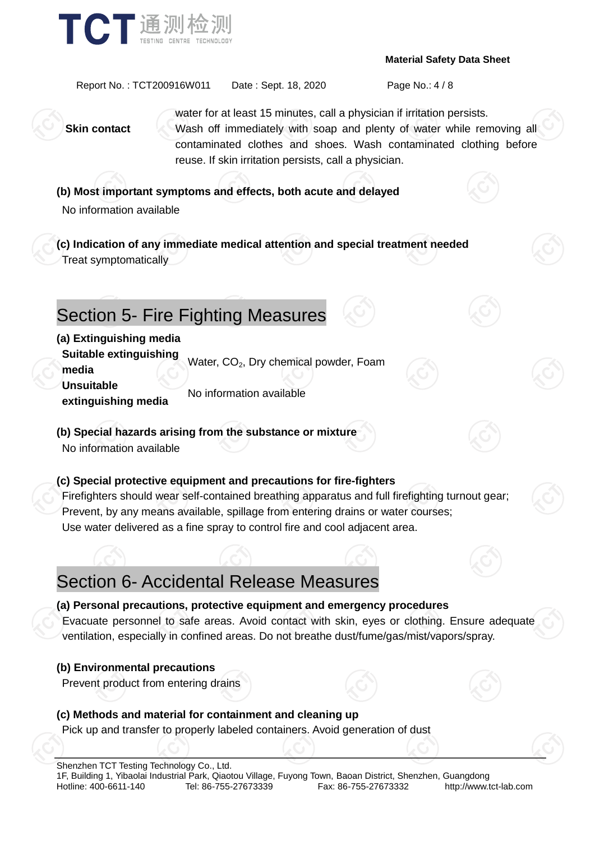



Report No. : TCT200916W011 Date : Sept. 18, 2020 Page No.: 4 / 8

water for at least 15 minutes, call a physician if irritation persists. **Skin contact** Wash off immediately with soap and plenty of water while removing all contaminated clothes and shoes. Wash contaminated clothing before reuse. If skin irritation persists, call a physician.

**(b) Most important symptoms and effects, both acute and delayed** No information available

**(c) Indication of any immediate medical attention and special treatment needed** Treat symptomatically

# Section 5- Fire Fighting Measures

### **(a) Extinguishing media**

**Suitable extinguishing media** Water, CO<sub>2</sub>, Dry chemical powder, Foam

**Unsuitable extinguishing media** No information available

**(b) Special hazards arising from the substance or mixture**

No information available

### **(c) Special protective equipment and precautions for fire-fighters**

Firefighters should wear self-contained breathing apparatus and full firefighting turnout gear; Prevent, by any means available, spillage from entering drains or water courses; Use water delivered as a fine spray to control fire and cool adjacent area.

# Section 6- Accidental Release Measures

### **(a) Personal precautions, protective equipment and emergency procedures**

Evacuate personnel to safe areas. Avoid contact with skin, eyes or clothing. Ensure adequate ventilation, especially in confined areas. Do not breathe dust/fume/gas/mist/vapors/spray.

### **(b) Environmental precautions**

Prevent product from entering drains

### **(c) Methods and material for containment and cleaning up**

Pick up and transfer to properly labeled containers. Avoid generation of dust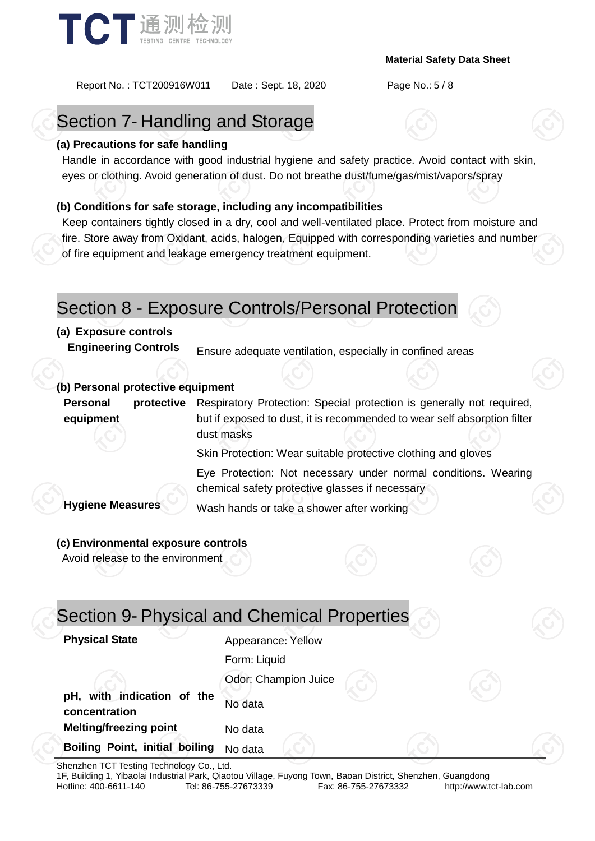

Report No. : TCT200916W011 Date : Sept. 18, 2020 Page No.: 5 / 8

# Section 7- Handling and Storage

### **(a) Precautions for safe handling**

Handle in accordance with good industrial hygiene and safety practice. Avoid contact with skin, eyes or clothing. Avoid generation of dust. Do not breathe dust/fume/gas/mist/vapors/spray

### **(b) Conditions for safe storage, including any incompatibilities**

Keep containers tightly closed in a dry, cool and well-ventilated place. Protect from moisture and fire. Store away from Oxidant, acids, halogen, Equipped with corresponding varieties and number of fire equipment and leakage emergency treatment equipment.

### Section 8 - Exposure Controls/Personal Protection

### **(a) Exposure controls**

**Engineering Controls** Ensure adequate ventilation, especially in confined areas

### **(b) Personal protective equipment**

**Personal protective equipment** Respiratory Protection: Special protection is generally not required, but if exposed to dust, it is recommended to wear self absorption filter dust masks

Skin Protection: Wear suitable protective clothing and gloves

Eye Protection: Not necessary under normal conditions. Wearing chemical safety protective glasses if necessary

**Hygiene Measures** Wash hands or take a shower after working

### **(c) Environmental exposure controls**

Avoid release to the environment

| Appearance: Yellow   |  |                                             |
|----------------------|--|---------------------------------------------|
| Form: Liquid         |  |                                             |
| Odor: Champion Juice |  |                                             |
| No data              |  |                                             |
| No data              |  |                                             |
| No data              |  |                                             |
|                      |  | Section 9- Physical and Chemical Properties |

Shenzhen TCT Testing Technology Co., Ltd.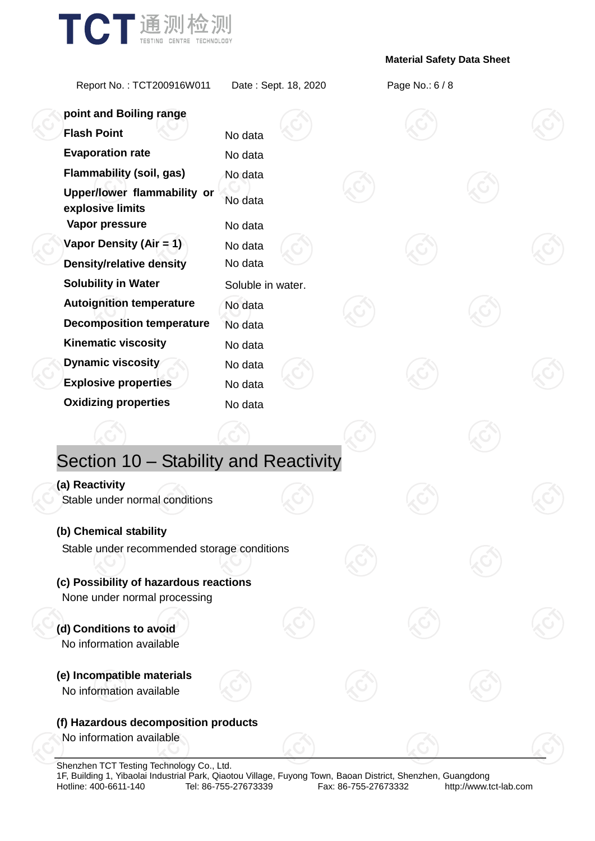

Report No. : TCT200916W011 Date : Sept. 18, 2020 Page No.: 6 / 8

| point and Boiling range                                                |                    |  |  |  |
|------------------------------------------------------------------------|--------------------|--|--|--|
| <b>Flash Point</b>                                                     | No data            |  |  |  |
| <b>Evaporation rate</b>                                                | No data            |  |  |  |
| <b>Flammability (soil, gas)</b>                                        | No data            |  |  |  |
| Upper/lower flammability or<br>explosive limits<br>Vapor pressure      | No data<br>No data |  |  |  |
| Vapor Density (Air = 1)                                                | No data            |  |  |  |
| <b>Density/relative density</b>                                        | No data            |  |  |  |
| <b>Solubility in Water</b>                                             | Soluble in water.  |  |  |  |
| <b>Autoignition temperature</b>                                        | No data            |  |  |  |
| <b>Decomposition temperature</b>                                       | No data            |  |  |  |
| <b>Kinematic viscosity</b>                                             | No data            |  |  |  |
| <b>Dynamic viscosity</b>                                               | No data            |  |  |  |
| <b>Explosive properties</b>                                            | No data            |  |  |  |
| <b>Oxidizing properties</b>                                            | No data            |  |  |  |
|                                                                        |                    |  |  |  |
| Section 10 - Stability and Reactivity                                  |                    |  |  |  |
| (a) Reactivity                                                         |                    |  |  |  |
| Stable under normal conditions                                         |                    |  |  |  |
| (b) Chemical stability                                                 |                    |  |  |  |
| Stable under recommended storage conditions                            |                    |  |  |  |
| (c) Possibility of hazardous reactions<br>None under normal processing |                    |  |  |  |
| (d) Conditions to avoid<br>No information available                    |                    |  |  |  |
| (e) Incompatible materials<br>No information available                 |                    |  |  |  |
| (f) Hazardous decomposition products                                   |                    |  |  |  |
| No information available                                               |                    |  |  |  |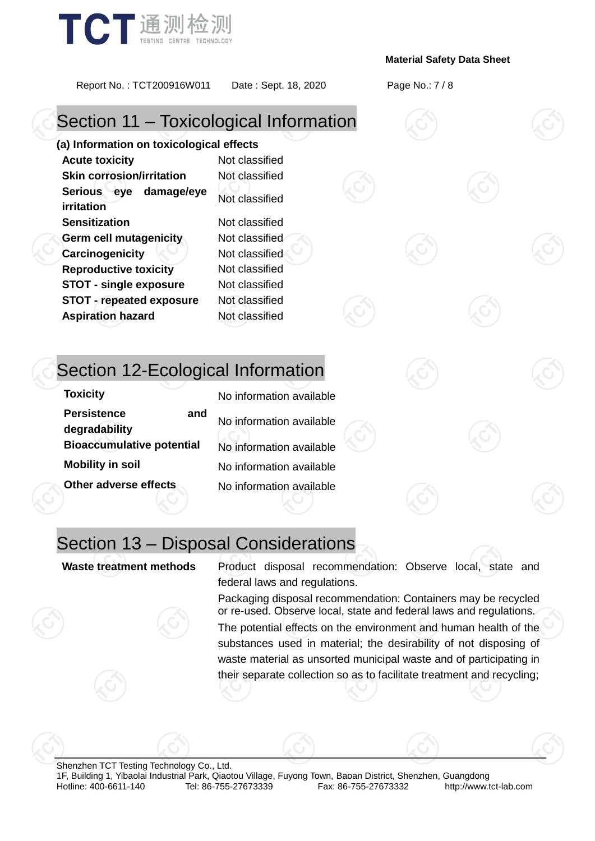

Report No. : TCT200916W011 Date : Sept. 18, 2020 Page No.: 7 / 8

# Section 11 – Toxicological Information

**(a) Information on toxicological effects Acute toxicity** Not classified **Skin corrosion/irritation** Not classified **Serious eye damage/eye irritation** Not classified **Sensitization** Not classified **Germ cell mutagenicity** Not classified **Carcinogenicity Not classified Reproductive toxicity** Not classified **STOT - single exposure** Not classified **STOT - repeated exposure** Not classified **Aspiration hazard** Not classified

### Section 12-Ecological Information

**Toxicity** No information available **Persistence and degradability** No information available **Bioaccumulative potential** No information available **Mobility in soil** No information available **Other adverse effects** No information available

### Section 13 – Disposal Considerations

**Waste treatment methods** Product disposal recommendation: Observe local, state and federal laws and regulations.

> Packaging disposal recommendation: Containers may be recycled or re-used. Observe local, state and federal laws and regulations.

> The potential effects on the environment and human health of the substances used in material; the desirability of not disposing of waste material as unsorted municipal waste and of participating in their separate collection so as to facilitate treatment and recycling;

Shenzhen TCT Testing Technology Co., Ltd. 1F, Building 1, Yibaolai Industrial Park, Qiaotou Village, Fuyong Town, Baoan District, Shenzhen, Guangdong Hotline: 400-6611-140 Tel: 86-755-27673339 Fax: 86-755-27673332 http://www.tct-lab.com